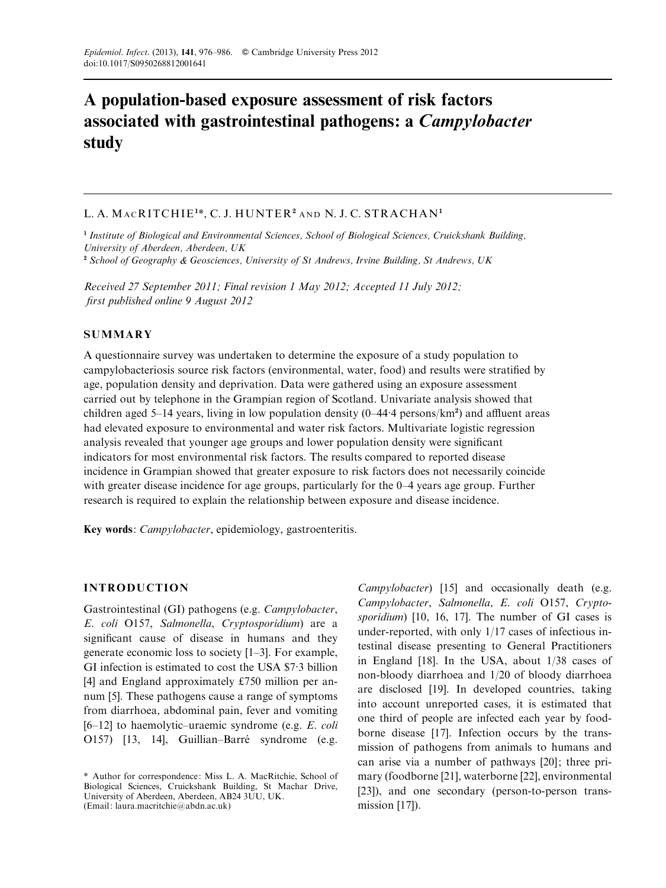# A population-based exposure assessment of risk factors associated with gastrointestinal pathogens: a Campylobacter study

# L. A. MACRITCHIE<sup>1\*</sup>, C. J. HUNTER<sup>2</sup> and N. J. C. STRACHAN<sup>1</sup>

<sup>1</sup> Institute of Biological and Environmental Sciences, School of Biological Sciences, Cruickshank Building, University of Aberdeen, Aberdeen, UK <sup>2</sup> School of Geography & Geosciences, University of St Andrews, Irvine Building, St Andrews, UK

Received 27 September 2011; Final revision 1 May 2012; Accepted 11 July 2012;

first published online 9 August 2012

#### SUMMARY

A questionnaire survey was undertaken to determine the exposure of a study population to campylobacteriosis source risk factors (environmental, water, food) and results were stratified by age, population density and deprivation. Data were gathered using an exposure assessment carried out by telephone in the Grampian region of Scotland. Univariate analysis showed that children aged 5–14 years, living in low population density  $(0-44.4 \text{ persons/km}^2)$  and affluent areas had elevated exposure to environmental and water risk factors. Multivariate logistic regression analysis revealed that younger age groups and lower population density were significant indicators for most environmental risk factors. The results compared to reported disease incidence in Grampian showed that greater exposure to risk factors does not necessarily coincide with greater disease incidence for age groups, particularly for the 0–4 years age group. Further research is required to explain the relationship between exposure and disease incidence.

Key words: *Campylobacter*, epidemiology, gastroenteritis.

#### INTRODUCTION

Gastrointestinal (GI) pathogens (e.g. Campylobacter, E. coli O157, Salmonella, Cryptosporidium) are a significant cause of disease in humans and they generate economic loss to society [1–3]. For example, GI infection is estimated to cost the USA \$7. 3 billion [4] and England approximately £750 million per annum [5]. These pathogens cause a range of symptoms from diarrhoea, abdominal pain, fever and vomiting  $[6–12]$  to haemolytic–uraemic syndrome (e.g. E. coli O157) [13, 14], Guillian–Barré syndrome (e.g.

Campylobacter) [15] and occasionally death (e.g. Campylobacter, Salmonella, E. coli O157, Cryptosporidium) [10, 16, 17]. The number of GI cases is under-reported, with only 1/17 cases of infectious intestinal disease presenting to General Practitioners in England [18]. In the USA, about 1/38 cases of non-bloody diarrhoea and 1/20 of bloody diarrhoea are disclosed [19]. In developed countries, taking into account unreported cases, it is estimated that one third of people are infected each year by foodborne disease [17]. Infection occurs by the transmission of pathogens from animals to humans and can arise via a number of pathways [20]; three primary (foodborne [21], waterborne [22], environmental [23]), and one secondary (person-to-person transmission [17]).

<sup>\*</sup> Author for correspondence: Miss L. A. MacRitchie, School of Biological Sciences, Cruickshank Building, St Machar Drive, University of Aberdeen, Aberdeen, AB24 3UU, UK. (Email: laura.macritchie@abdn.ac.uk)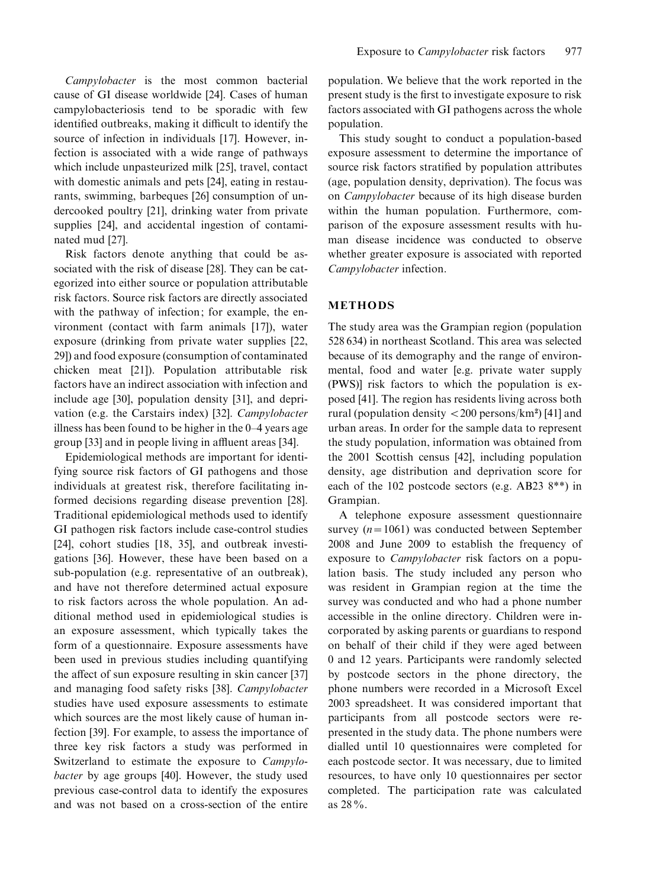Campylobacter is the most common bacterial cause of GI disease worldwide [24]. Cases of human campylobacteriosis tend to be sporadic with few identified outbreaks, making it difficult to identify the source of infection in individuals [17]. However, infection is associated with a wide range of pathways which include unpasteurized milk [25], travel, contact with domestic animals and pets [24], eating in restaurants, swimming, barbeques [26] consumption of undercooked poultry [21], drinking water from private supplies [24], and accidental ingestion of contaminated mud [27].

Risk factors denote anything that could be associated with the risk of disease [28]. They can be categorized into either source or population attributable risk factors. Source risk factors are directly associated with the pathway of infection; for example, the environment (contact with farm animals [17]), water exposure (drinking from private water supplies [22, 29]) and food exposure (consumption of contaminated chicken meat [21]). Population attributable risk factors have an indirect association with infection and include age [30], population density [31], and deprivation (e.g. the Carstairs index) [32]. Campylobacter illness has been found to be higher in the 0–4 years age group [33] and in people living in affluent areas [34].

Epidemiological methods are important for identifying source risk factors of GI pathogens and those individuals at greatest risk, therefore facilitating informed decisions regarding disease prevention [28]. Traditional epidemiological methods used to identify GI pathogen risk factors include case-control studies [24], cohort studies [18, 35], and outbreak investigations [36]. However, these have been based on a sub-population (e.g. representative of an outbreak), and have not therefore determined actual exposure to risk factors across the whole population. An additional method used in epidemiological studies is an exposure assessment, which typically takes the form of a questionnaire. Exposure assessments have been used in previous studies including quantifying the affect of sun exposure resulting in skin cancer [37] and managing food safety risks [38]. Campylobacter studies have used exposure assessments to estimate which sources are the most likely cause of human infection [39]. For example, to assess the importance of three key risk factors a study was performed in Switzerland to estimate the exposure to Campylobacter by age groups [40]. However, the study used previous case-control data to identify the exposures and was not based on a cross-section of the entire

population. We believe that the work reported in the present study is the first to investigate exposure to risk factors associated with GI pathogens across the whole population.

This study sought to conduct a population-based exposure assessment to determine the importance of source risk factors stratified by population attributes (age, population density, deprivation). The focus was on Campylobacter because of its high disease burden within the human population. Furthermore, comparison of the exposure assessment results with human disease incidence was conducted to observe whether greater exposure is associated with reported Campylobacter infection.

## METHODS

The study area was the Grampian region (population 528 634) in northeast Scotland. This area was selected because of its demography and the range of environmental, food and water [e.g. private water supply (PWS)] risk factors to which the population is exposed [41]. The region has residents living across both rural (population density  $<$  200 persons/km<sup>2</sup>) [41] and urban areas. In order for the sample data to represent the study population, information was obtained from the 2001 Scottish census [42], including population density, age distribution and deprivation score for each of the 102 postcode sectors (e.g. AB23 8\*\*) in Grampian.

A telephone exposure assessment questionnaire survey  $(n=1061)$  was conducted between September 2008 and June 2009 to establish the frequency of exposure to *Campylobacter* risk factors on a population basis. The study included any person who was resident in Grampian region at the time the survey was conducted and who had a phone number accessible in the online directory. Children were incorporated by asking parents or guardians to respond on behalf of their child if they were aged between 0 and 12 years. Participants were randomly selected by postcode sectors in the phone directory, the phone numbers were recorded in a Microsoft Excel 2003 spreadsheet. It was considered important that participants from all postcode sectors were represented in the study data. The phone numbers were dialled until 10 questionnaires were completed for each postcode sector. It was necessary, due to limited resources, to have only 10 questionnaires per sector completed. The participation rate was calculated as 28%.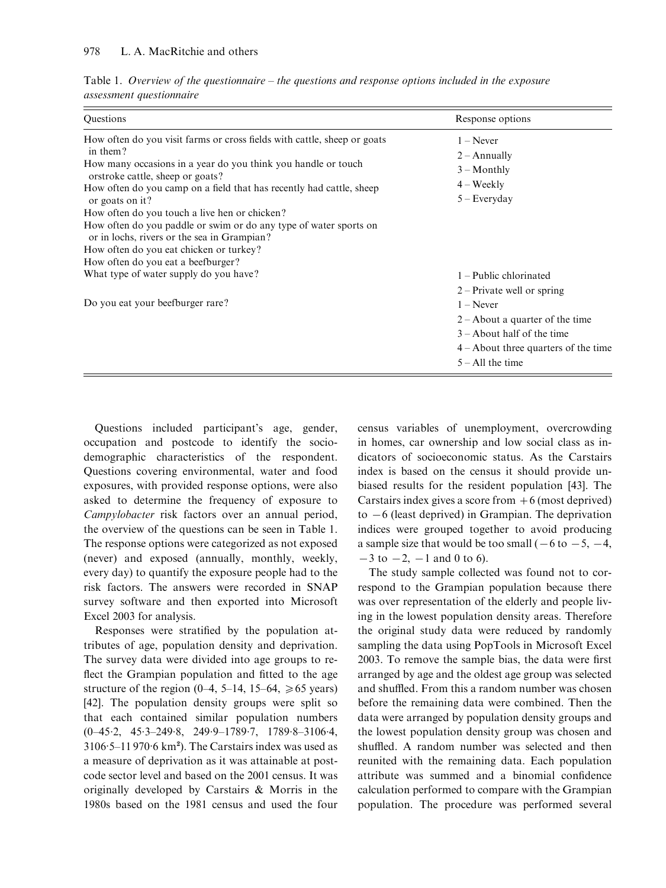| Questions                                                                                                                                                                                                                                                                                                                                                                                                                                                                                                                                                                            | Response options                                                                                                                                 |
|--------------------------------------------------------------------------------------------------------------------------------------------------------------------------------------------------------------------------------------------------------------------------------------------------------------------------------------------------------------------------------------------------------------------------------------------------------------------------------------------------------------------------------------------------------------------------------------|--------------------------------------------------------------------------------------------------------------------------------------------------|
| How often do you visit farms or cross fields with cattle, sheep or goats<br>in them?<br>How many occasions in a year do you think you handle or touch<br>orstroke cattle, sheep or goats?<br>How often do you camp on a field that has recently had cattle, sheep<br>or goats on it?<br>How often do you touch a live hen or chicken?<br>How often do you paddle or swim or do any type of water sports on<br>or in lochs, rivers or the sea in Grampian?<br>How often do you eat chicken or turkey?<br>How often do you eat a beefburger?<br>What type of water supply do you have? | $1 -$ Never<br>$2 -$ Annually<br>$3 -$ Monthly<br>$4 - Weekly$<br>$5 - Every day$<br>1 – Public chlorinated<br>$2$ – Private well or spring      |
| Do you eat your beefburger rare?                                                                                                                                                                                                                                                                                                                                                                                                                                                                                                                                                     | $1 -$ Never<br>$2 -$ About a quarter of the time<br>$3 -$ About half of the time<br>$4 -$ About three quarters of the time<br>$5 - All$ the time |

Table 1. Overview of the questionnaire – the questions and response options included in the exposure assessment questionnaire

Questions included participant's age, gender, occupation and postcode to identify the sociodemographic characteristics of the respondent. Questions covering environmental, water and food exposures, with provided response options, were also asked to determine the frequency of exposure to Campylobacter risk factors over an annual period, the overview of the questions can be seen in Table 1. The response options were categorized as not exposed (never) and exposed (annually, monthly, weekly, every day) to quantify the exposure people had to the risk factors. The answers were recorded in SNAP survey software and then exported into Microsoft Excel 2003 for analysis.

Responses were stratified by the population attributes of age, population density and deprivation. The survey data were divided into age groups to reflect the Grampian population and fitted to the age structure of the region (0–4, 5–14, 15–64,  $\geq 65$  years) [42]. The population density groups were split so that each contained similar population numbers  $(0-45.2, 45.3-249.8, 249.9-1789.7, 1789.8-3106.4,$  $3106 \cdot 5 - 11970 \cdot 6$  km<sup>2</sup>). The Carstairs index was used as a measure of deprivation as it was attainable at postcode sector level and based on the 2001 census. It was originally developed by Carstairs & Morris in the 1980s based on the 1981 census and used the four census variables of unemployment, overcrowding in homes, car ownership and low social class as indicators of socioeconomic status. As the Carstairs index is based on the census it should provide unbiased results for the resident population [43]. The Carstairs index gives a score from  $+6$  (most deprived) to  $-6$  (least deprived) in Grampian. The deprivation indices were grouped together to avoid producing a sample size that would be too small ( $-6$  to  $-5$ ,  $-4$ ,  $-3$  to  $-2$ ,  $-1$  and 0 to 6).

The study sample collected was found not to correspond to the Grampian population because there was over representation of the elderly and people living in the lowest population density areas. Therefore the original study data were reduced by randomly sampling the data using PopTools in Microsoft Excel 2003. To remove the sample bias, the data were first arranged by age and the oldest age group was selected and shuffled. From this a random number was chosen before the remaining data were combined. Then the data were arranged by population density groups and the lowest population density group was chosen and shuffled. A random number was selected and then reunited with the remaining data. Each population attribute was summed and a binomial confidence calculation performed to compare with the Grampian population. The procedure was performed several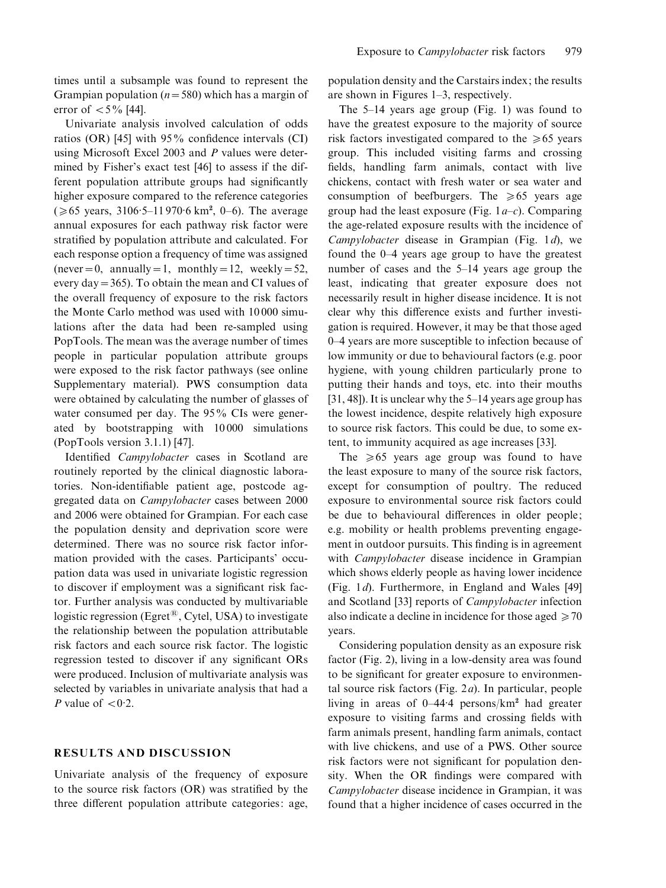times until a subsample was found to represent the Grampian population ( $n=580$ ) which has a margin of error of  $< 5\%$  [44].

Univariate analysis involved calculation of odds ratios (OR) [45] with 95% confidence intervals (CI) using Microsoft Excel 2003 and P values were determined by Fisher's exact test [46] to assess if the different population attribute groups had significantly higher exposure compared to the reference categories  $(\ge 65 \text{ years}, 3106.5 - 11970.6 \text{ km}^2, 0 - 6)$ . The average annual exposures for each pathway risk factor were stratified by population attribute and calculated. For each response option a frequency of time was assigned (never = 0, annually = 1, monthly = 12, weekly = 52, every day=365). To obtain the mean and CI values of the overall frequency of exposure to the risk factors the Monte Carlo method was used with 10 000 simulations after the data had been re-sampled using PopTools. The mean was the average number of times people in particular population attribute groups were exposed to the risk factor pathways (see online Supplementary material). PWS consumption data were obtained by calculating the number of glasses of water consumed per day. The 95% CIs were generated by bootstrapping with 10 000 simulations (PopTools version 3.1.1) [47].

Identified Campylobacter cases in Scotland are routinely reported by the clinical diagnostic laboratories. Non-identifiable patient age, postcode aggregated data on Campylobacter cases between 2000 and 2006 were obtained for Grampian. For each case the population density and deprivation score were determined. There was no source risk factor information provided with the cases. Participants' occupation data was used in univariate logistic regression to discover if employment was a significant risk factor. Further analysis was conducted by multivariable logistic regression (Egret<sup>®</sup>, Cytel, USA) to investigate the relationship between the population attributable risk factors and each source risk factor. The logistic regression tested to discover if any significant ORs were produced. Inclusion of multivariate analysis was selected by variables in univariate analysis that had a P value of  $< 0.2$ .

#### RESULTS AND DISCUSSION

Univariate analysis of the frequency of exposure to the source risk factors (OR) was stratified by the three different population attribute categories: age, population density and the Carstairs index; the results are shown in Figures 1–3, respectively.

The 5–14 years age group (Fig. 1) was found to have the greatest exposure to the majority of source risk factors investigated compared to the  $\geq 65$  years group. This included visiting farms and crossing fields, handling farm animals, contact with live chickens, contact with fresh water or sea water and consumption of beefburgers. The  $\geq 65$  years age group had the least exposure (Fig.  $1a-c$ ). Comparing the age-related exposure results with the incidence of Campylobacter disease in Grampian (Fig. 1d), we found the 0–4 years age group to have the greatest number of cases and the 5–14 years age group the least, indicating that greater exposure does not necessarily result in higher disease incidence. It is not clear why this difference exists and further investigation is required. However, it may be that those aged 0–4 years are more susceptible to infection because of low immunity or due to behavioural factors (e.g. poor hygiene, with young children particularly prone to putting their hands and toys, etc. into their mouths [31, 48]). It is unclear why the 5–14 years age group has the lowest incidence, despite relatively high exposure to source risk factors. This could be due, to some extent, to immunity acquired as age increases [33].

The  $\geq 65$  years age group was found to have the least exposure to many of the source risk factors, except for consumption of poultry. The reduced exposure to environmental source risk factors could be due to behavioural differences in older people; e.g. mobility or health problems preventing engagement in outdoor pursuits. This finding is in agreement with *Campylobacter* disease incidence in Grampian which shows elderly people as having lower incidence (Fig. 1d). Furthermore, in England and Wales [49] and Scotland [33] reports of Campylobacter infection also indicate a decline in incidence for those aged  $\geq 70$ years.

Considering population density as an exposure risk factor (Fig. 2), living in a low-density area was found to be significant for greater exposure to environmental source risk factors (Fig.  $2a$ ). In particular, people living in areas of 0–44. 4 persons/km<sup>2</sup> had greater exposure to visiting farms and crossing fields with farm animals present, handling farm animals, contact with live chickens, and use of a PWS. Other source risk factors were not significant for population density. When the OR findings were compared with Campylobacter disease incidence in Grampian, it was found that a higher incidence of cases occurred in the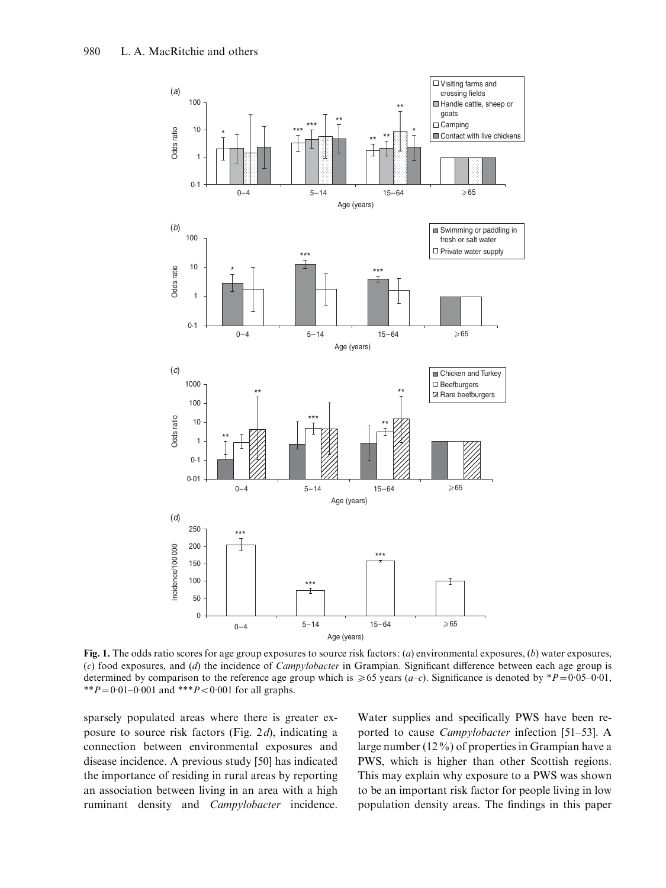

Fig. 1. The odds ratio scores for age group exposures to source risk factors: (*a*) environmental exposures, (*b*) water exposures, (c) food exposures, and (d) the incidence of *Campylobacter* in Grampian. Significant difference between each age group is determined by comparison to the reference age group which is  $\geq 65$  years (*a–c*). Significance is denoted by \*P=0.05–0.01, \*\* $P = 0.01 - 0.001$  and \*\*\* $P < 0.001$  for all graphs.

sparsely populated areas where there is greater exposure to source risk factors (Fig. 2d), indicating a connection between environmental exposures and disease incidence. A previous study [50] has indicated the importance of residing in rural areas by reporting an association between living in an area with a high ruminant density and Campylobacter incidence.

Water supplies and specifically PWS have been reported to cause Campylobacter infection [51–53]. A large number (12%) of properties in Grampian have a PWS, which is higher than other Scottish regions. This may explain why exposure to a PWS was shown to be an important risk factor for people living in low population density areas. The findings in this paper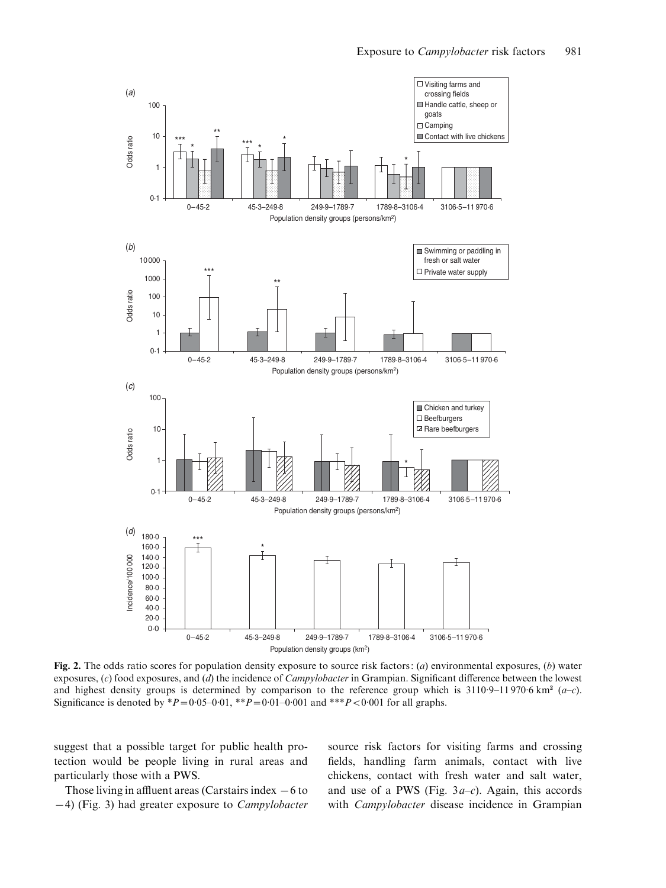

Fig. 2. The odds ratio scores for population density exposure to source risk factors: (*a*) environmental exposures, (*b*) water exposures, (c) food exposures, and (d) the incidence of *Campylobacter* in Grampian. Significant difference between the lowest and highest density groups is determined by comparison to the reference group which is  $3110.9-11970.6 \text{ km}^2$  (a-c). Significance is denoted by  $*P = 0.05 - 0.01$ ,  $*P = 0.01 - 0.001$  and  $*P < 0.001$  for all graphs.

suggest that a possible target for public health protection would be people living in rural areas and particularly those with a PWS.

Those living in affluent areas (Carstairs index  $-6$  to  $-4$ ) (Fig. 3) had greater exposure to *Campylobacter*  source risk factors for visiting farms and crossing fields, handling farm animals, contact with live chickens, contact with fresh water and salt water, and use of a PWS (Fig.  $3a-c$ ). Again, this accords with Campylobacter disease incidence in Grampian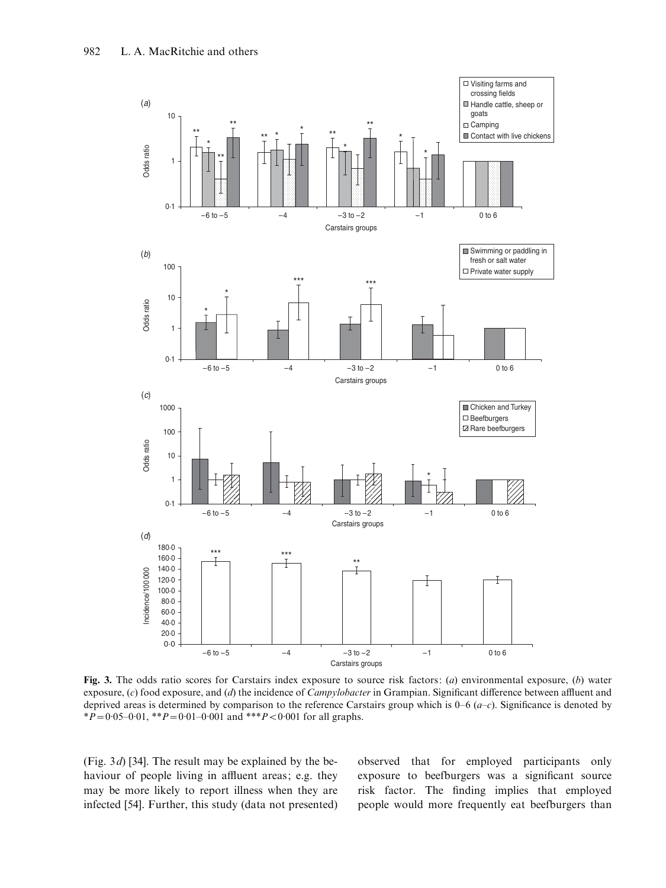

Fig. 3. The odds ratio scores for Carstairs index exposure to source risk factors: (*a*) environmental exposure, (*b*) water exposure,  $(c)$  food exposure, and  $(d)$  the incidence of *Campylobacter* in Grampian. Significant difference between affluent and deprived areas is determined by comparison to the reference Carstairs group which is  $0-6$   $(a-c)$ . Significance is denoted by \* $P = 0.05 - 0.01$ , \*\* $P = 0.01 - 0.001$  and \*\*\* $P < 0.001$  for all graphs.

(Fig. 3d) [34]. The result may be explained by the behaviour of people living in affluent areas; e.g. they may be more likely to report illness when they are infected [54]. Further, this study (data not presented) observed that for employed participants only exposure to beefburgers was a significant source risk factor. The finding implies that employed people would more frequently eat beefburgers than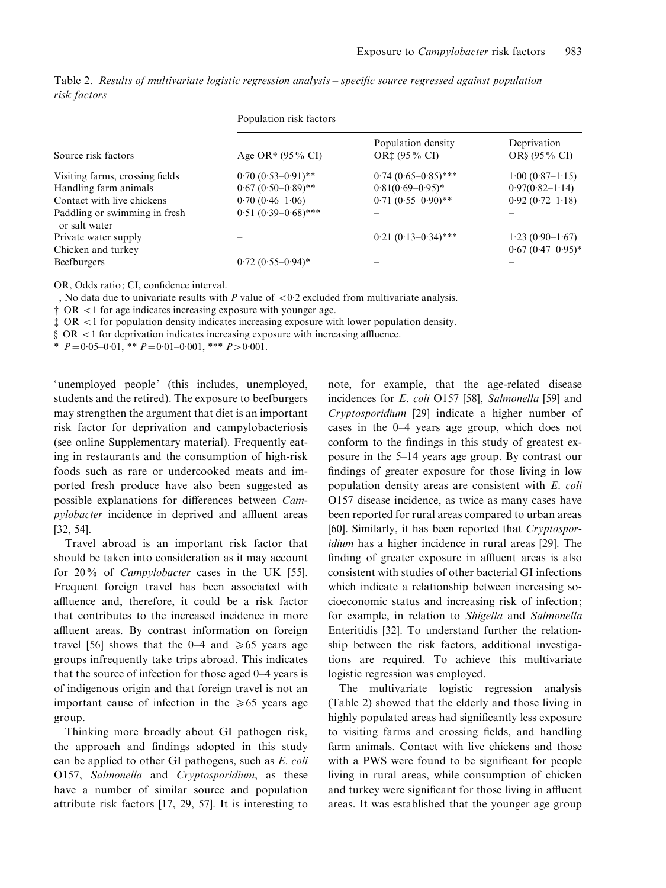| Source risk factors                            | Population risk factors  |                                                                    |                              |
|------------------------------------------------|--------------------------|--------------------------------------------------------------------|------------------------------|
|                                                | Age OR† (95% CI)         | Population density<br>OR <sup><math>\ddagger</math></sup> (95% CI) | Deprivation<br>OR§ (95 % CI) |
| Visiting farms, crossing fields                | $0.70(0.53-0.91)$ **     | $0.74(0.65-0.85)$ ***                                              | $1.00 (0.87 - 1.15)$         |
| Handling farm animals                          | $0.67 (0.50 - 0.89)$ **  | $0.81(0.69 - 0.95)^*$                                              | $0.97(0.82 - 1.14)$          |
| Contact with live chickens                     | $0.70(0.46-1.06)$        | $0.71 (0.55 - 0.90)$ **                                            | $0.92(0.72-1.18)$            |
| Paddling or swimming in fresh<br>or salt water | $0.51 (0.39 - 0.68)$ *** |                                                                    |                              |
| Private water supply                           |                          | $0.21 (0.13 - 0.34)$ ***                                           | $1.23(0.90-1.67)$            |
| Chicken and turkey                             | -                        |                                                                    | $0.67$ $(0.47 - 0.95)^*$     |
| Beefburgers                                    | $0.72(0.55-0.94)$ *      |                                                                    |                              |

Table 2. Results of multivariate logistic regression analysis – specific source regressed against population risk factors

OR, Odds ratio; CI, confidence interval.

–, No data due to univariate results with P value of  $< 0.2$  excluded from multivariate analysis.

 $\uparrow$  OR  $\leq$ 1 for age indicates increasing exposure with younger age.

 $\ddagger$  OR  $\lt$ 1 for population density indicates increasing exposure with lower population density.

 $\S$  OR <1 for deprivation indicates increasing exposure with increasing affluence.

\*  $P=0.05-0.01$ , \*\*  $P=0.01-0.001$ , \*\*\*  $P>0.001$ .

'unemployed people' (this includes, unemployed, students and the retired). The exposure to beefburgers may strengthen the argument that diet is an important risk factor for deprivation and campylobacteriosis (see online Supplementary material). Frequently eating in restaurants and the consumption of high-risk foods such as rare or undercooked meats and imported fresh produce have also been suggested as possible explanations for differences between Campylobacter incidence in deprived and affluent areas [32, 54].

Travel abroad is an important risk factor that should be taken into consideration as it may account for 20% of *Campylobacter* cases in the UK [55]. Frequent foreign travel has been associated with affluence and, therefore, it could be a risk factor that contributes to the increased incidence in more affluent areas. By contrast information on foreign travel [56] shows that the 0–4 and  $\geq 65$  years age groups infrequently take trips abroad. This indicates that the source of infection for those aged 0–4 years is of indigenous origin and that foreign travel is not an important cause of infection in the  $\geq 65$  years age group.

Thinking more broadly about GI pathogen risk, the approach and findings adopted in this study can be applied to other GI pathogens, such as E. coli O157, Salmonella and Cryptosporidium, as these have a number of similar source and population attribute risk factors [17, 29, 57]. It is interesting to note, for example, that the age-related disease incidences for *E. coli* O157 [58], Salmonella [59] and Cryptosporidium [29] indicate a higher number of cases in the 0–4 years age group, which does not conform to the findings in this study of greatest exposure in the 5–14 years age group. By contrast our findings of greater exposure for those living in low population density areas are consistent with E. coli O157 disease incidence, as twice as many cases have been reported for rural areas compared to urban areas [60]. Similarly, it has been reported that Cryptosporidium has a higher incidence in rural areas [29]. The finding of greater exposure in affluent areas is also consistent with studies of other bacterial GI infections which indicate a relationship between increasing socioeconomic status and increasing risk of infection; for example, in relation to Shigella and Salmonella Enteritidis [32]. To understand further the relationship between the risk factors, additional investigations are required. To achieve this multivariate logistic regression was employed.

The multivariate logistic regression analysis (Table 2) showed that the elderly and those living in highly populated areas had significantly less exposure to visiting farms and crossing fields, and handling farm animals. Contact with live chickens and those with a PWS were found to be significant for people living in rural areas, while consumption of chicken and turkey were significant for those living in affluent areas. It was established that the younger age group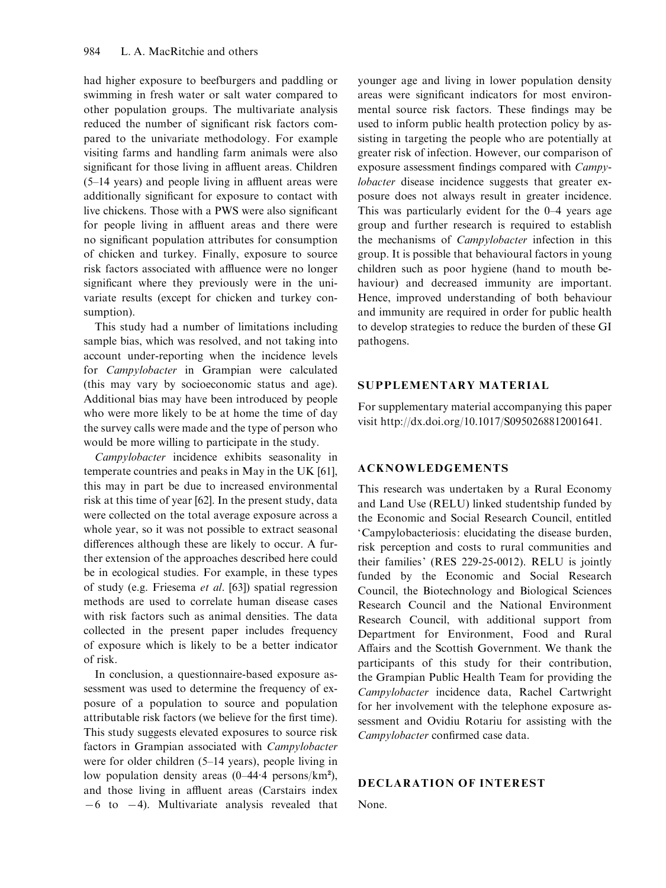had higher exposure to beefburgers and paddling or swimming in fresh water or salt water compared to other population groups. The multivariate analysis reduced the number of significant risk factors compared to the univariate methodology. For example visiting farms and handling farm animals were also significant for those living in affluent areas. Children (5–14 years) and people living in affluent areas were additionally significant for exposure to contact with live chickens. Those with a PWS were also significant for people living in affluent areas and there were no significant population attributes for consumption of chicken and turkey. Finally, exposure to source risk factors associated with affluence were no longer significant where they previously were in the univariate results (except for chicken and turkey consumption).

This study had a number of limitations including sample bias, which was resolved, and not taking into account under-reporting when the incidence levels for Campylobacter in Grampian were calculated (this may vary by socioeconomic status and age). Additional bias may have been introduced by people who were more likely to be at home the time of day the survey calls were made and the type of person who would be more willing to participate in the study.

Campylobacter incidence exhibits seasonality in temperate countries and peaks in May in the UK [61], this may in part be due to increased environmental risk at this time of year [62]. In the present study, data were collected on the total average exposure across a whole year, so it was not possible to extract seasonal differences although these are likely to occur. A further extension of the approaches described here could be in ecological studies. For example, in these types of study (e.g. Friesema et al. [63]) spatial regression methods are used to correlate human disease cases with risk factors such as animal densities. The data collected in the present paper includes frequency of exposure which is likely to be a better indicator of risk.

In conclusion, a questionnaire-based exposure assessment was used to determine the frequency of exposure of a population to source and population attributable risk factors (we believe for the first time). This study suggests elevated exposures to source risk factors in Grampian associated with Campylobacter were for older children (5–14 years), people living in low population density areas  $(0-44.4 \text{ persons/km}^2)$ , and those living in affluent areas (Carstairs index  $-6$  to  $-4$ ). Multivariate analysis revealed that younger age and living in lower population density areas were significant indicators for most environmental source risk factors. These findings may be used to inform public health protection policy by assisting in targeting the people who are potentially at greater risk of infection. However, our comparison of exposure assessment findings compared with Campylobacter disease incidence suggests that greater exposure does not always result in greater incidence. This was particularly evident for the 0–4 years age group and further research is required to establish the mechanisms of Campylobacter infection in this group. It is possible that behavioural factors in young children such as poor hygiene (hand to mouth behaviour) and decreased immunity are important. Hence, improved understanding of both behaviour and immunity are required in order for public health to develop strategies to reduce the burden of these GI pathogens.

# SUPPLEMENTARY MATERIAL

For supplementary material accompanying this paper visit http://dx.doi.org/10.1017/S0950268812001641.

# ACKNOWLEDGEMENTS

This research was undertaken by a Rural Economy and Land Use (RELU) linked studentship funded by the Economic and Social Research Council, entitled 'Campylobacteriosis: elucidating the disease burden, risk perception and costs to rural communities and their families' (RES 229-25-0012). RELU is jointly funded by the Economic and Social Research Council, the Biotechnology and Biological Sciences Research Council and the National Environment Research Council, with additional support from Department for Environment, Food and Rural Affairs and the Scottish Government. We thank the participants of this study for their contribution, the Grampian Public Health Team for providing the Campylobacter incidence data, Rachel Cartwright for her involvement with the telephone exposure assessment and Ovidiu Rotariu for assisting with the Campylobacter confirmed case data.

# DECLARATION OF INTEREST

None.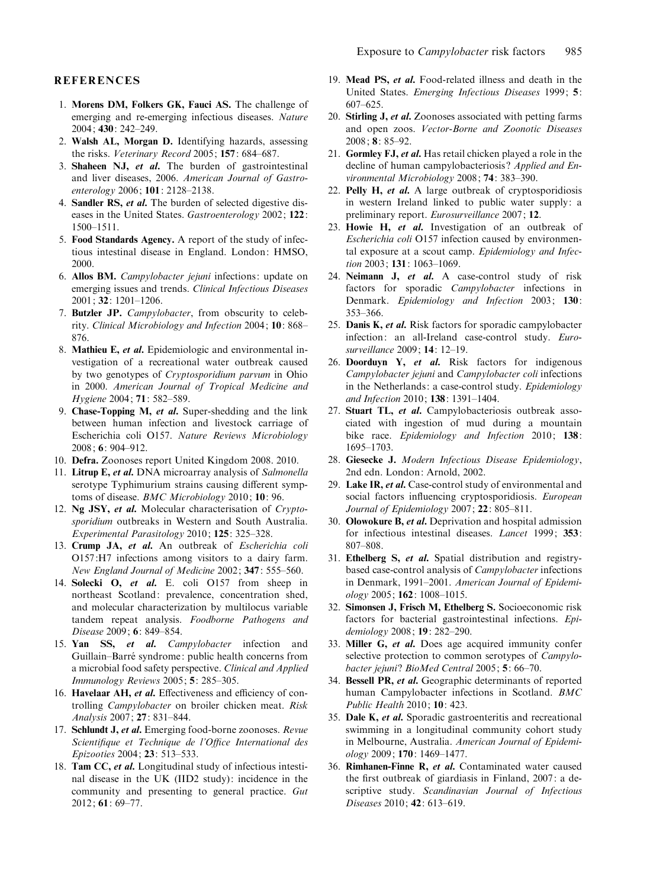#### **REFERENCES**

- 1. Morens DM, Folkers GK, Fauci AS. The challenge of emerging and re-emerging infectious diseases. Nature 2004; 430: 242–249.
- 2. Walsh AL, Morgan D. Identifying hazards, assessing the risks. Veterinary Record 2005; 157: 684–687.
- 3. Shaheen NJ, et al. The burden of gastrointestinal and liver diseases, 2006. American Journal of Gastroenterology 2006; 101: 2128–2138.
- 4. Sandler RS, et al. The burden of selected digestive diseases in the United States. Gastroenterology 2002; 122: 1500–1511.
- 5. Food Standards Agency. A report of the study of infectious intestinal disease in England. London: HMSO, 2000.
- 6. Allos BM. Campylobacter jejuni infections: update on emerging issues and trends. Clinical Infectious Diseases 2001; 32: 1201–1206.
- 7. Butzler JP. Campylobacter, from obscurity to celebrity. Clinical Microbiology and Infection 2004; 10: 868– 876.
- 8. Mathieu E, et al. Epidemiologic and environmental investigation of a recreational water outbreak caused by two genotypes of Cryptosporidium parvum in Ohio in 2000. American Journal of Tropical Medicine and Hygiene 2004; 71: 582–589.
- 9. Chase-Topping M, et al. Super-shedding and the link between human infection and livestock carriage of Escherichia coli O157. Nature Reviews Microbiology 2008; 6: 904–912.
- 10. Defra. Zoonoses report United Kingdom 2008. 2010.
- 11. Litrup E, et al. DNA microarray analysis of Salmonella serotype Typhimurium strains causing different symptoms of disease. BMC Microbiology 2010; 10: 96.
- 12. Ng JSY, et al. Molecular characterisation of Cryptosporidium outbreaks in Western and South Australia. Experimental Parasitology 2010; 125: 325–328.
- 13. Crump JA, et al. An outbreak of Escherichia coli O157:H7 infections among visitors to a dairy farm. New England Journal of Medicine 2002; 347: 555–560.
- 14. Solecki O, et al. E. coli O157 from sheep in northeast Scotland: prevalence, concentration shed, and molecular characterization by multilocus variable tandem repeat analysis. Foodborne Pathogens and Disease 2009; 6: 849–854.
- 15. Yan SS, et al. Campylobacter infection and Guillain–Barré syndrome: public health concerns from a microbial food safety perspective. Clinical and Applied Immunology Reviews 2005; 5: 285–305.
- 16. Havelaar AH, et al. Effectiveness and efficiency of controlling Campylobacter on broiler chicken meat. Risk Analysis 2007; 27: 831–844.
- 17. Schlundt J, et al. Emerging food-borne zoonoses. Revue Scientifique et Technique de l'Office International des Epizooties 2004; 23: 513–533.
- 18. Tam CC, et al. Longitudinal study of infectious intestinal disease in the UK (IID2 study): incidence in the community and presenting to general practice. Gut 2012; 61: 69–77.
- 19. Mead PS, et al. Food-related illness and death in the United States. Emerging Infectious Diseases 1999; 5: 607–625.
- 20. Stirling J, et al. Zoonoses associated with petting farms and open zoos. Vector-Borne and Zoonotic Diseases 2008; 8: 85–92.
- 21. Gormley FJ, et al. Has retail chicken played a role in the decline of human campylobacteriosis? Applied and Environmental Microbiology 2008; 74: 383–390.
- 22. Pelly  $H$ , *et al.* A large outbreak of cryptosporidiosis in western Ireland linked to public water supply: a preliminary report. Eurosurveillance 2007; 12.
- 23. Howie H, et al. Investigation of an outbreak of Escherichia coli O157 infection caused by environmental exposure at a scout camp. Epidemiology and Infection 2003; **131**: 1063-1069.
- 24. Neimann J, et al. A case-control study of risk factors for sporadic Campylobacter infections in Denmark. Epidemiology and Infection 2003; 130: 353–366.
- 25. Danis K, et al. Risk factors for sporadic campylobacter infection: an all-Ireland case-control study. Eurosurveillance 2009; 14: 12–19.
- 26. Doorduyn Y, et al. Risk factors for indigenous Campylobacter jejuni and Campylobacter coli infections in the Netherlands: a case-control study. Epidemiology and Infection 2010; 138: 1391–1404.
- 27. Stuart TL, et al. Campylobacteriosis outbreak associated with ingestion of mud during a mountain bike race. Epidemiology and Infection 2010; 138: 1695–1703.
- 28. Giesecke J. Modern Infectious Disease Epidemiology, 2nd edn. London: Arnold, 2002.
- 29. Lake IR, et al. Case-control study of environmental and social factors influencing cryptosporidiosis. European Journal of Epidemiology 2007; 22: 805-811.
- 30. Olowokure B, et al. Deprivation and hospital admission for infectious intestinal diseases. Lancet 1999; 353: 807–808.
- 31. Ethelberg S, et al. Spatial distribution and registrybased case-control analysis of Campylobacter infections in Denmark, 1991–2001. American Journal of Epidemiology 2005; 162: 1008–1015.
- 32. Simonsen J, Frisch M, Ethelberg S. Socioeconomic risk factors for bacterial gastrointestinal infections. Epidemiology 2008; 19: 282–290.
- 33. Miller G, et al. Does age acquired immunity confer selective protection to common serotypes of *Campylo*bacter jejuni? BioMed Central 2005; 5: 66-70.
- 34. Bessell PR, et al. Geographic determinants of reported human Campylobacter infections in Scotland. BMC Public Health 2010; 10: 423.
- 35. Dale K, et al. Sporadic gastroenteritis and recreational swimming in a longitudinal community cohort study in Melbourne, Australia. American Journal of Epidemiology 2009; 170: 1469–1477.
- 36. Rimhanen-Finne R, et al. Contaminated water caused the first outbreak of giardiasis in Finland, 2007: a descriptive study. Scandinavian Journal of Infectious Diseases 2010; 42: 613–619.